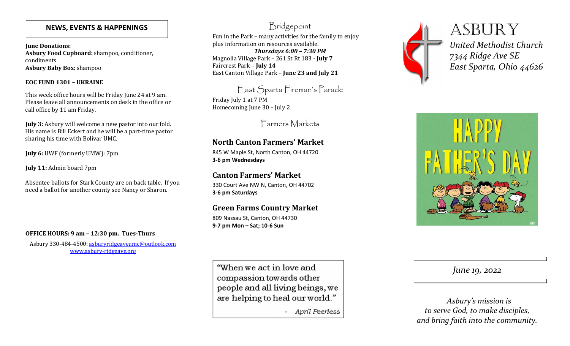### **NEWS, EVENTS & HAPPENINGS**

**June Donations: Asbury Food Cupboard:** shampoo, conditioner, condiments**Asbury Baby Box:** shampoo

#### **EOC FUND 1301 – UKRAINE**

This week office hours will be Friday June 24 at 9 am. Please leave all announcements on desk in the office or call office by 11 am Friday.

**July 3:** Asbury will welcome a new pastor into our fold. His name is Bill Eckert and he will be a part-time pastor sharing his time with Bolivar UMC.

**July 6:** UWF (formerly UMW): 7pm

**July 11:** Admin board 7pm

Absentee ballots for Stark County are on back table. If you need a ballot for another county see Nancy or Sharon.

#### **OFFICE HOURS: 9 am – 12:30 pm. Tues-Thurs**

Asbury 330-484-4500: asburyridgeaveumc@outlook.comwww.asbury-ridgeave.org

## Bridgepoint

Fun in the Park – many activities for the family to enjoy plus information on resources available. *Thursdays 6:00 – 7:30 PM* 

 Magnolia Village Park – 261 St Rt 183 - **July 7** Faircrest Park – **July 14** East Canton Village Park – **June 23 and July 21** 

East Sparta Fireman's Parade Friday July 1 at 7 PM Homecoming June 30 – July 2

Farmers Markets

## **North Canton Farmers' Market**

845 W Maple St, North Canton, OH 44720 **3-6 pm Wednesdays**

# **Canton Farmers' Market**

330 Court Ave NW N, Canton, OH 44702 **3-6 pm Saturdays**

## **Green Farms Country Market**

809 Nassau St, Canton, OH 44730 **9-7 pm Mon – Sat; 10-6 Sun** 

"When we act in love and compassion towards other people and all living beings, we are helping to heal our world."

- April Peerless



**ASBURY** *United Methodist Church7344 Ridge Ave SEEast Sparta, Ohio 44626*



*June 19, 2022* 

 *Asbury's mission is to serve God, to make disciples, and bring faith into the community.*